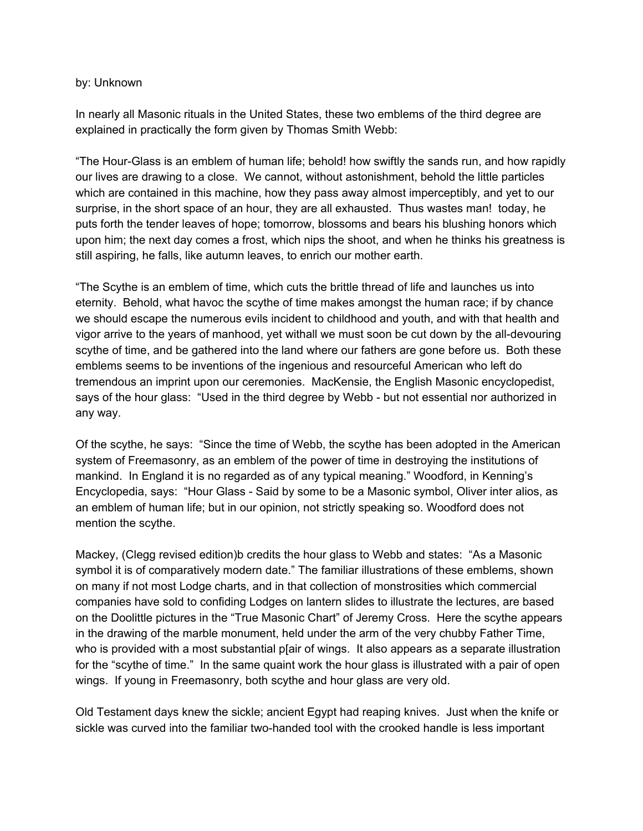## by: Unknown

In nearly all Masonic rituals in the United States, these two emblems of the third degree are explained in practically the form given by Thomas Smith Webb:

"The Hour-Glass is an emblem of human life; behold! how swiftly the sands run, and how rapidly our lives are drawing to a close. We cannot, without astonishment, behold the little particles which are contained in this machine, how they pass away almost imperceptibly, and yet to our surprise, in the short space of an hour, they are all exhausted. Thus wastes man! today, he puts forth the tender leaves of hope; tomorrow, blossoms and bears his blushing honors which upon him; the next day comes a frost, which nips the shoot, and when he thinks his greatness is still aspiring, he falls, like autumn leaves, to enrich our mother earth.

"The Scythe is an emblem of time, which cuts the brittle thread of life and launches us into eternity. Behold, what havoc the scythe of time makes amongst the human race; if by chance we should escape the numerous evils incident to childhood and youth, and with that health and vigor arrive to the years of manhood, yet withall we must soon be cut down by the all-devouring scythe of time, and be gathered into the land where our fathers are gone before us. Both these emblems seems to be inventions of the ingenious and resourceful American who left do tremendous an imprint upon our ceremonies. MacKensie, the English Masonic encyclopedist, says of the hour glass: "Used in the third degree by Webb - but not essential nor authorized in any way.

Of the scythe, he says: "Since the time of Webb, the scythe has been adopted in the American system of Freemasonry, as an emblem of the power of time in destroying the institutions of mankind. In England it is no regarded as of any typical meaning." Woodford, in Kenning's Encyclopedia, says: "Hour Glass - Said by some to be a Masonic symbol, Oliver inter alios, as an emblem of human life; but in our opinion, not strictly speaking so. Woodford does not mention the scythe.

Mackey, (Clegg revised edition)b credits the hour glass to Webb and states: "As a Masonic symbol it is of comparatively modern date." The familiar illustrations of these emblems, shown on many if not most Lodge charts, and in that collection of monstrosities which commercial companies have sold to confiding Lodges on lantern slides to illustrate the lectures, are based on the Doolittle pictures in the "True Masonic Chart" of Jeremy Cross. Here the scythe appears in the drawing of the marble monument, held under the arm of the very chubby Father Time, who is provided with a most substantial p[air of wings. It also appears as a separate illustration for the "scythe of time." In the same quaint work the hour glass is illustrated with a pair of open wings. If young in Freemasonry, both scythe and hour glass are very old.

Old Testament days knew the sickle; ancient Egypt had reaping knives. Just when the knife or sickle was curved into the familiar two-handed tool with the crooked handle is less important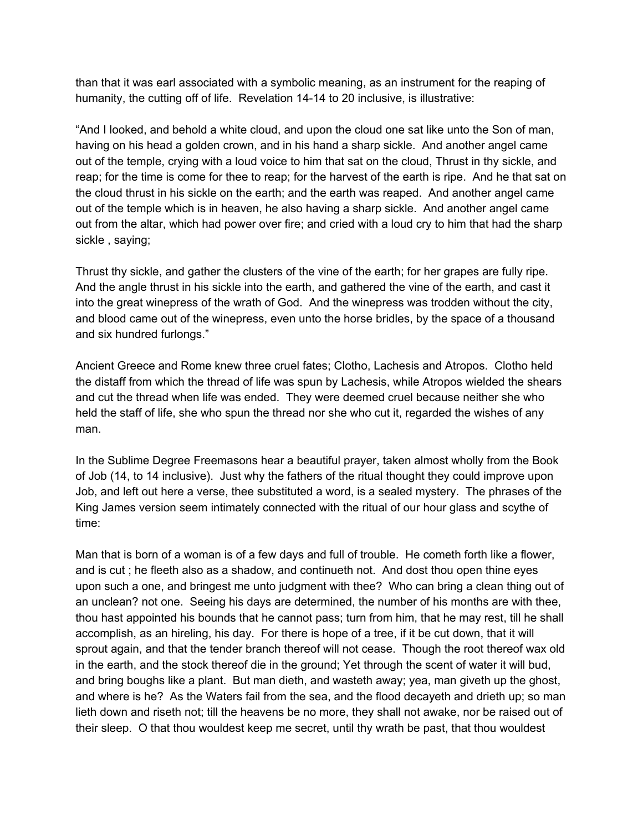than that it was earl associated with a symbolic meaning, as an instrument for the reaping of humanity, the cutting off of life. Revelation 14-14 to 20 inclusive, is illustrative:

"And I looked, and behold a white cloud, and upon the cloud one sat like unto the Son of man, having on his head a golden crown, and in his hand a sharp sickle. And another angel came out of the temple, crying with a loud voice to him that sat on the cloud, Thrust in thy sickle, and reap; for the time is come for thee to reap; for the harvest of the earth is ripe. And he that sat on the cloud thrust in his sickle on the earth; and the earth was reaped. And another angel came out of the temple which is in heaven, he also having a sharp sickle. And another angel came out from the altar, which had power over fire; and cried with a loud cry to him that had the sharp sickle , saying;

Thrust thy sickle, and gather the clusters of the vine of the earth; for her grapes are fully ripe. And the angle thrust in his sickle into the earth, and gathered the vine of the earth, and cast it into the great winepress of the wrath of God. And the winepress was trodden without the city, and blood came out of the winepress, even unto the horse bridles, by the space of a thousand and six hundred furlongs."

Ancient Greece and Rome knew three cruel fates; Clotho, Lachesis and Atropos. Clotho held the distaff from which the thread of life was spun by Lachesis, while Atropos wielded the shears and cut the thread when life was ended. They were deemed cruel because neither she who held the staff of life, she who spun the thread nor she who cut it, regarded the wishes of any man.

In the Sublime Degree Freemasons hear a beautiful prayer, taken almost wholly from the Book of Job (14, to 14 inclusive). Just why the fathers of the ritual thought they could improve upon Job, and left out here a verse, thee substituted a word, is a sealed mystery. The phrases of the King James version seem intimately connected with the ritual of our hour glass and scythe of time:

Man that is born of a woman is of a few days and full of trouble. He cometh forth like a flower, and is cut ; he fleeth also as a shadow, and continueth not. And dost thou open thine eyes upon such a one, and bringest me unto judgment with thee? Who can bring a clean thing out of an unclean? not one. Seeing his days are determined, the number of his months are with thee, thou hast appointed his bounds that he cannot pass; turn from him, that he may rest, till he shall accomplish, as an hireling, his day. For there is hope of a tree, if it be cut down, that it will sprout again, and that the tender branch thereof will not cease. Though the root thereof wax old in the earth, and the stock thereof die in the ground; Yet through the scent of water it will bud, and bring boughs like a plant. But man dieth, and wasteth away; yea, man giveth up the ghost, and where is he? As the Waters fail from the sea, and the flood decayeth and drieth up; so man lieth down and riseth not; till the heavens be no more, they shall not awake, nor be raised out of their sleep. O that thou wouldest keep me secret, until thy wrath be past, that thou wouldest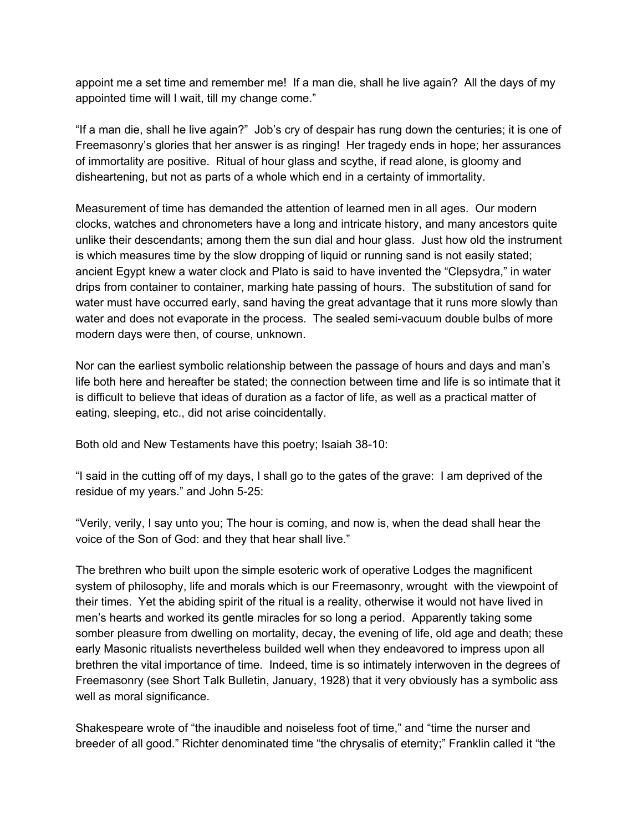appoint me a set time and remember me! If a man die, shall he live again? All the days of my appointed time will I wait, till my change come."

"If a man die, shall he live again?" Job's cry of despair has rung down the centuries; it is one of Freemasonry's glories that her answer is as ringing! Her tragedy ends in hope; her assurances of immortality are positive. Ritual of hour glass and scythe, if read alone, is gloomy and disheartening, but not as parts of a whole which end in a certainty of immortality.

Measurement of time has demanded the attention of learned men in all ages. Our modern clocks, watches and chronometers have a long and intricate history, and many ancestors quite unlike their descendants; among them the sun dial and hour glass. Just how old the instrument is which measures time by the slow dropping of liquid or running sand is not easily stated; ancient Egypt knew a water clock and Plato is said to have invented the "Clepsydra," in water drips from container to container, marking hate passing of hours. The substitution of sand for water must have occurred early, sand having the great advantage that it runs more slowly than water and does not evaporate in the process. The sealed semi-vacuum double bulbs of more modern days were then, of course, unknown.

Nor can the earliest symbolic relationship between the passage of hours and days and man's life both here and hereafter be stated; the connection between time and life is so intimate that it is difficult to believe that ideas of duration as a factor of life, as well as a practical matter of eating, sleeping, etc., did not arise coincidentally.

Both old and New Testaments have this poetry; Isaiah 38-10:

"I said in the cutting off of my days, I shall go to the gates of the grave: I am deprived of the residue of my years." and John 5-25:

"Verily, verily, I say unto you; The hour is coming, and now is, when the dead shall hear the voice of the Son of God: and they that hear shall live."

The brethren who built upon the simple esoteric work of operative Lodges the magnificent system of philosophy, life and morals which is our Freemasonry, wrought with the viewpoint of their times. Yet the abiding spirit of the ritual is a reality, otherwise it would not have lived in men's hearts and worked its gentle miracles for so long a period. Apparently taking some somber pleasure from dwelling on mortality, decay, the evening of life, old age and death; these early Masonic ritualists nevertheless builded well when they endeavored to impress upon all brethren the vital importance of time. Indeed, time is so intimately interwoven in the degrees of Freemasonry (see Short Talk Bulletin, January, 1928) that it very obviously has a symbolic ass well as moral significance.

Shakespeare wrote of "the inaudible and noiseless foot of time," and "time the nurser and breeder of all good." Richter denominated time "the chrysalis of eternity;" Franklin called it "the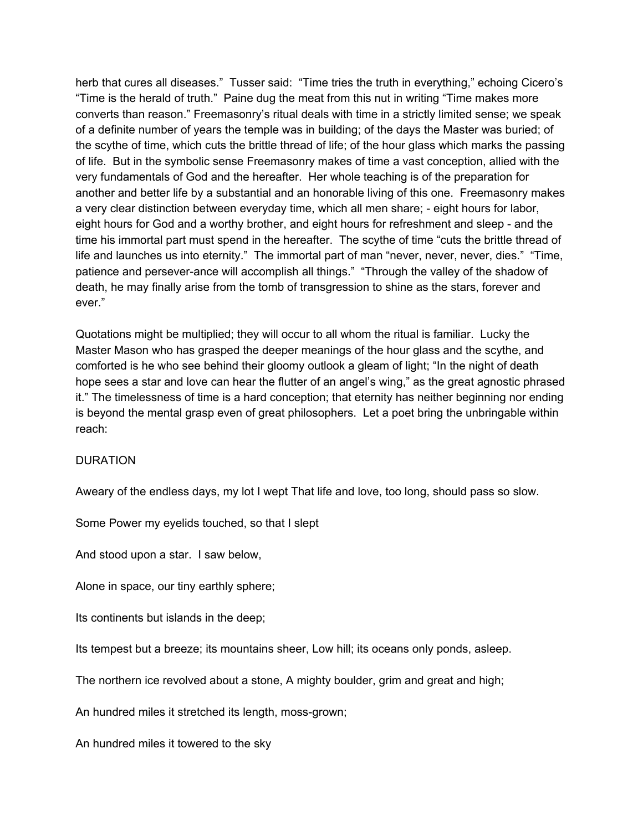herb that cures all diseases." Tusser said: "Time tries the truth in everything," echoing Cicero's "Time is the herald of truth." Paine dug the meat from this nut in writing "Time makes more converts than reason." Freemasonry's ritual deals with time in a strictly limited sense; we speak of a definite number of years the temple was in building; of the days the Master was buried; of the scythe of time, which cuts the brittle thread of life; of the hour glass which marks the passing of life. But in the symbolic sense Freemasonry makes of time a vast conception, allied with the very fundamentals of God and the hereafter. Her whole teaching is of the preparation for another and better life by a substantial and an honorable living of this one. Freemasonry makes a very clear distinction between everyday time, which all men share; - eight hours for labor, eight hours for God and a worthy brother, and eight hours for refreshment and sleep - and the time his immortal part must spend in the hereafter. The scythe of time "cuts the brittle thread of life and launches us into eternity." The immortal part of man "never, never, never, dies." "Time, patience and persever-ance will accomplish all things." "Through the valley of the shadow of death, he may finally arise from the tomb of transgression to shine as the stars, forever and ever."

Quotations might be multiplied; they will occur to all whom the ritual is familiar. Lucky the Master Mason who has grasped the deeper meanings of the hour glass and the scythe, and comforted is he who see behind their gloomy outlook a gleam of light; "In the night of death hope sees a star and love can hear the flutter of an angel's wing," as the great agnostic phrased it." The timelessness of time is a hard conception; that eternity has neither beginning nor ending is beyond the mental grasp even of great philosophers. Let a poet bring the unbringable within reach:

## DURATION

Aweary of the endless days, my lot I wept That life and love, too long, should pass so slow.

Some Power my eyelids touched, so that I slept

And stood upon a star. I saw below,

Alone in space, our tiny earthly sphere;

Its continents but islands in the deep;

Its tempest but a breeze; its mountains sheer, Low hill; its oceans only ponds, asleep.

The northern ice revolved about a stone, A mighty boulder, grim and great and high;

An hundred miles it stretched its length, moss-grown;

An hundred miles it towered to the sky